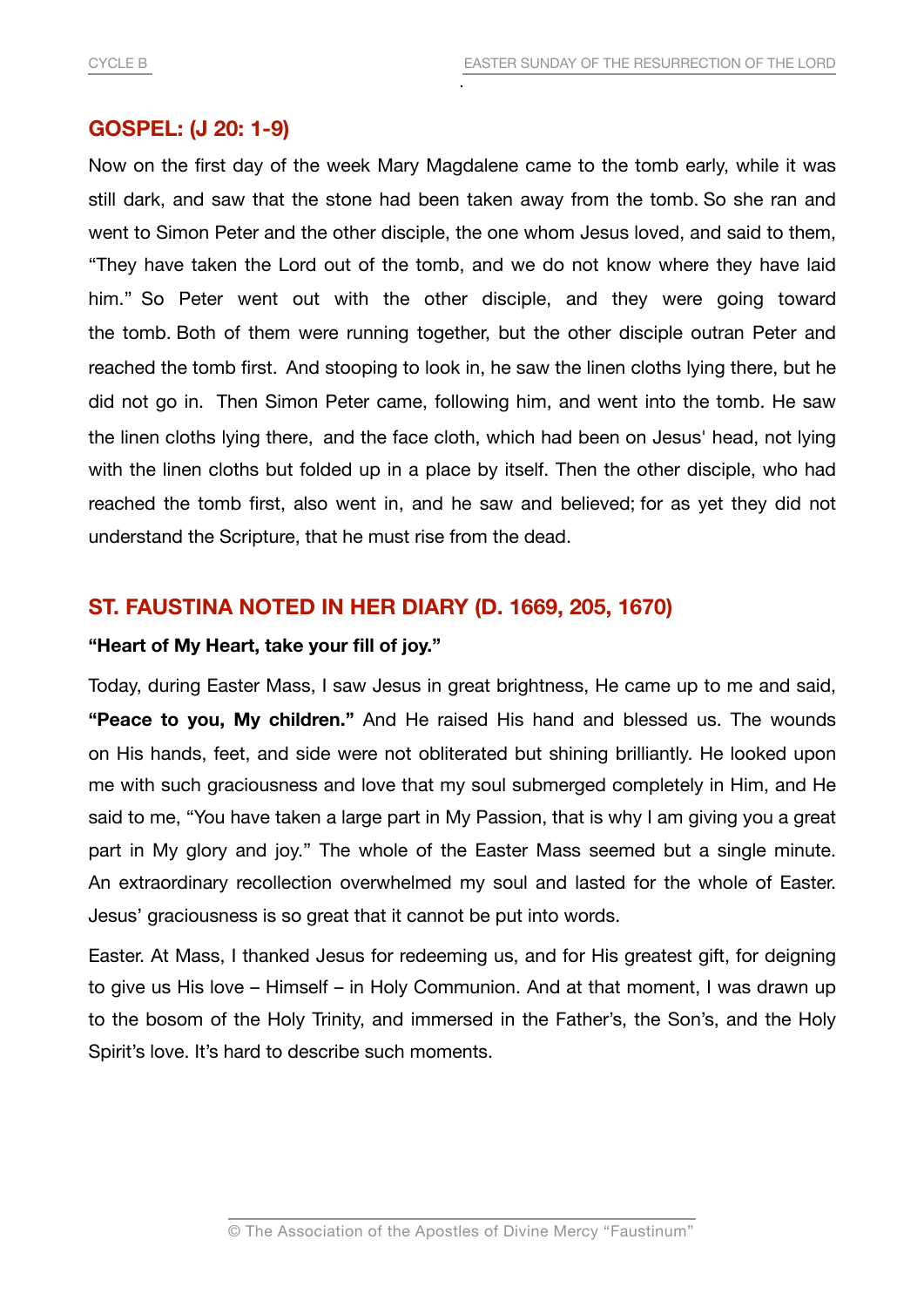## **GOSPEL: (J 20: 1-9)**

Now on the first day of the week Mary Magdalene came to the tomb early, while it was still dark, and saw that the stone had been taken away from the tomb. So she ran and went to Simon Peter and the other disciple, the one whom Jesus loved, and said to them, "They have taken the Lord out of the tomb, and we do not know where they have laid him." So Peter went out with the other disciple, and they were going toward the tomb. Both of them were running together, but the other disciple outran Peter and reached the tomb first. And stooping to look in, he saw the linen cloths lying there, but he did not go in. Then Simon Peter came, following him, and went into the tomb. He saw the linen cloths lying there, and the face cloth, which had been on Jesus' head, not lying with the linen cloths but folded up in a place by itself. Then the other disciple, who had reached the tomb first, also went in, and he saw and believed; for as yet they did not understand the Scripture, that he must rise from the dead.

## **ST. FAUSTINA NOTED IN HER DIARY (D. 1669, 205, 1670)**

## **"Heart of My Heart, take your fill of joy."**

Today, during Easter Mass, I saw Jesus in great brightness, He came up to me and said, **"Peace to you, My children."** And He raised His hand and blessed us. The wounds on His hands, feet, and side were not obliterated but shining brilliantly. He looked upon me with such graciousness and love that my soul submerged completely in Him, and He said to me, "You have taken a large part in My Passion, that is why I am giving you a great part in My glory and joy." The whole of the Easter Mass seemed but a single minute. An extraordinary recollection overwhelmed my soul and lasted for the whole of Easter. Jesus' graciousness is so great that it cannot be put into words.

Easter. At Mass, I thanked Jesus for redeeming us, and for His greatest gift, for deigning to give us His love – Himself – in Holy Communion. And at that moment, I was drawn up to the bosom of the Holy Trinity, and immersed in the Father's, the Son's, and the Holy Spirit's love. It's hard to describe such moments.